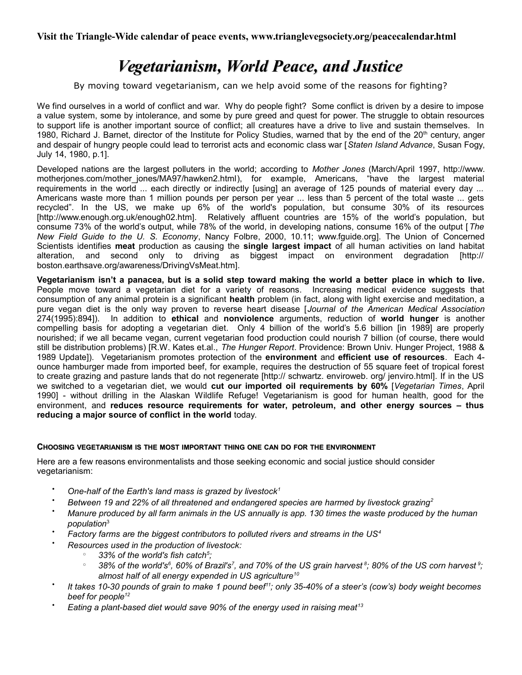**Visit the Triangle-Wide calendar of peace events, www.trianglevegsociety.org/peacecalendar.html**

# *Vegetarianism, World Peace, and Justice*

By moving toward vegetarianism, can we help avoid some of the reasons for fighting?

We find ourselves in a world of conflict and war. Why do people fight? Some conflict is driven by a desire to impose a value system, some by intolerance, and some by pure greed and quest for power. The struggle to obtain resources to support life is another important source of conflict; all creatures have a drive to live and sustain themselves. In 1980, Richard J. Barnet, director of the Institute for Policy Studies, warned that by the end of the 20<sup>th</sup> century, anger and despair of hungry people could lead to terrorist acts and economic class war [*Staten Island Advance*, Susan Fogy, July 14, 1980, p.1].

Developed nations are the largest polluters in the world; according to *Mother Jones* (March/April 1997, http://www. motherjones.com/mother\_jones/MA97/hawken2.html), for example, Americans, "have the largest material requirements in the world ... each directly or indirectly [using] an average of 125 pounds of material every day ... Americans waste more than 1 million pounds per person per year ... less than 5 percent of the total waste ... gets recycled". In the US, we make up 6% of the world's population, but consume 30% of its resources [http://www.enough.org.uk/enough02.htm]. Relatively affluent countries are 15% of the world's population, but consume 73% of the world's output, while 78% of the world, in developing nations, consume 16% of the output [*The New Field Guide to the U. S. Economy*, Nancy Folbre, 2000, 10.11; [www.fguide.org\]](http://www.fguide.org/). The Union of Concerned Scientists identifies **meat** production as causing the **single largest impact** of all human activities on land habitat alteration, and second only to driving as biggest impact on environment degradation [http:// boston.earthsave.org/awareness/DrivingVsMeat.htm].

**Vegetarianism isn't a panacea, but is a solid step toward making the world a better place in which to live.** People move toward a vegetarian diet for a variety of reasons. Increasing medical evidence suggests that consumption of any animal protein is a significant **health** problem (in fact, along with light exercise and meditation, a pure vegan diet is the only way proven to reverse heart disease [*Journal of the American Medical Association* 274(1995):894]). In addition to **ethical** and **nonviolence** arguments, reduction of **world hunger** is another compelling basis for adopting a vegetarian diet. Only 4 billion of the world's 5.6 billion [in 1989] are properly nourished; if we all became vegan, current vegetarian food production could nourish 7 billion (of course, there would still be distribution problems) [R.W. Kates et.al., *The Hunger Report*. Providence: Brown Univ. Hunger Project, 1988 & 1989 Update]). Vegetarianism promotes protection of the **environment** and **efficient use of resources**. Each 4 ounce hamburger made from imported beef, for example, requires the destruction of 55 square feet of tropical forest to create grazing and pasture lands that do not regenerate [http:// schwartz. enviroweb. org/ jenviro.html]. If in the US we switched to a vegetarian diet, we would **cut our imported oil requirements by 60%** [*Vegetarian Times*, April 1990] - without drilling in the Alaskan Wildlife Refuge! Vegetarianism is good for human health, good for the environment, and **reduces resource requirements for water, petroleum, and other energy sources – thus reducing a major source of conflict in the world** today.

## **CHOOSING VEGETARIANISM IS THE MOST IMPORTANT THING ONE CAN DO FOR THE ENVIRONMENT**

Here are a few reasons environmentalists and those seeking economic and social justice should consider vegetarianism:

- *One-half of the Earth's land mass is grazed by livestock<sup>1</sup>*
- *Between 19 and 22% of all threatened and endangered species are harmed by livestock grazing<sup>2</sup>*
- *Manure produced by all farm animals in the US annually is app. 130 times the waste produced by the human population*<sup>3</sup>
- *Factory farms are the biggest contributors to polluted rivers and streams in the US<sup>4</sup>*
	- *Resources used in the production of livestock:* 
		- $\degree$  33% of the world's fish catch<sup>5</sup>;
		- $^{\circ}$  38% of the world's $^{\circ}$ , 60% of Brazil's<sup>7</sup>, and 70% of the US grain harvest  $^{\circ}$ ; 80% of the US corn harvest  $^{\circ}$ ; *almost half of all energy expended in US agriculture<sup>10</sup>*
- $\bullet$ *It takes 10-30 pounds of grain to make 1 pound beef<sup>11</sup>; only 35-40% of a steer's (cow's) body weight becomes beef for people<sup>12</sup>*
- *Eating a plant-based diet would save 90% of the energy used in raising meat<sup>13</sup>*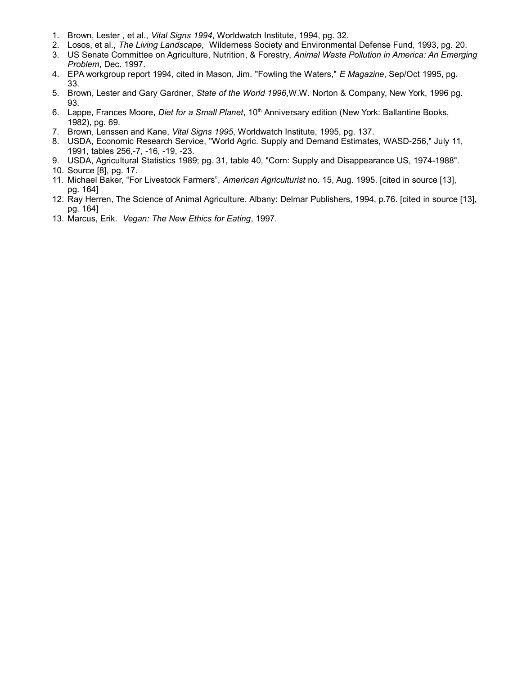- 1. Brown, Lester , et al., *Vital Signs 1994*, Worldwatch Institute, 1994, pg. 32.
- 2. Losos, et al., *The Living Landscape,* Wilderness Society and Environmental Defense Fund, 1993, pg. 20.
- 3. US Senate Committee on Agriculture, Nutrition, & Forestry, *Animal Waste Pollution in America: An Emerging Problem*, Dec. 1997.
- 4. EPA workgroup report 1994, cited in Mason, Jim. "Fowling the Waters," *E Magazine*, Sep/Oct 1995, pg. 33.
- 5. Brown, Lester and Gary Gardner*, State of the World 1996*,W.W. Norton & Company, New York, 1996 pg. 93.
- 6. Lappe, Frances Moore, *Diet for a Small Planet*, 10<sup>th</sup> Anniversary edition (New York: Ballantine Books, 1982), pg. 69.
- 7. Brown, Lenssen and Kane, *Vital Signs 1995*, Worldwatch Institute, 1995, pg. 137.
- 8. USDA, Economic Research Service, "World Agric. Supply and Demand Estimates, WASD-256," July 11, 1991, tables 256,-7, -16, -19, -23.
- 9. USDA, Agricultural Statistics 1989; pg. 31, table 40, "Corn: Supply and Disappearance US, 1974-1988".
- 10. Source [8], pg. 17.
- 11. Michael Baker, "For Livestock Farmers", *American Agriculturist* no. 15, Aug. 1995. [cited in source [13], pg. 164]
- 12. Ray Herren, The Science of Animal Agriculture. Albany: Delmar Publishers, 1994, p.76. [cited in source [13], pg. 164]
- 13. Marcus, Erik. *Vegan: The New Ethics for Eating*, 1997.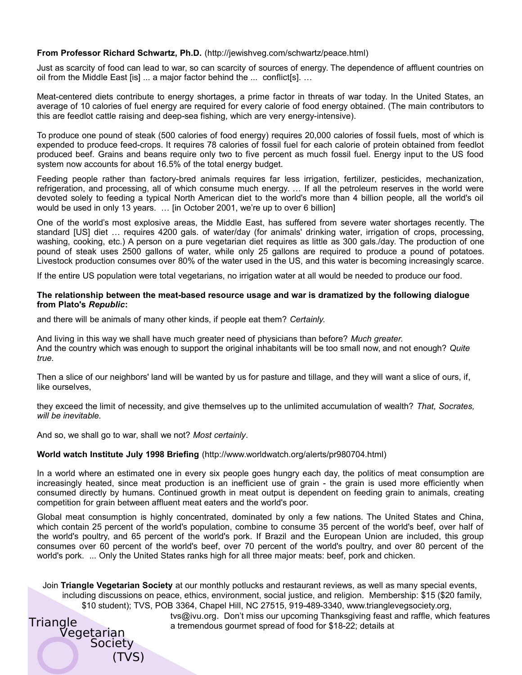### **From Professor Richard Schwartz, Ph.D.** (http://jewishveg.com/schwartz/peace.html)

Just as scarcity of food can lead to war, so can scarcity of sources of energy. The dependence of affluent countries on oil from the Middle East [is] ... a major factor behind the ... conflict[s]. …

Meat-centered diets contribute to energy shortages, a prime factor in threats of war today. In the United States, an average of 10 calories of fuel energy are required for every calorie of food energy obtained. (The main contributors to this are feedlot cattle raising and deep-sea fishing, which are very energy-intensive).

To produce one pound of steak (500 calories of food energy) requires 20,000 calories of fossil fuels, most of which is expended to produce feed-crops. It requires 78 calories of fossil fuel for each calorie of protein obtained from feedlot produced beef. Grains and beans require only two to five percent as much fossil fuel. Energy input to the US food system now accounts for about 16.5% of the total energy budget.

Feeding people rather than factory-bred animals requires far less irrigation, fertilizer, pesticides, mechanization, refrigeration, and processing, all of which consume much energy. … If all the petroleum reserves in the world were devoted solely to feeding a typical North American diet to the world's more than 4 billion people, all the world's oil would be used in only 13 years. … [in October 2001, we're up to over 6 billion]

One of the world's most explosive areas, the Middle East, has suffered from severe water shortages recently. The standard [US] diet … requires 4200 gals. of water/day (for animals' drinking water, irrigation of crops, processing, washing, cooking, etc.) A person on a pure vegetarian diet requires as little as 300 gals./day. The production of one pound of steak uses 2500 gallons of water, while only 25 gallons are required to produce a pound of potatoes. Livestock production consumes over 80% of the water used in the US, and this water is becoming increasingly scarce.

If the entire US population were total vegetarians, no irrigation water at all would be needed to produce our food.

#### **The relationship between the meat-based resource usage and war is dramatized by the following dialogue from Plato's** *Republic***:**

and there will be animals of many other kinds, if people eat them? *Certainly.*

And living in this way we shall have much greater need of physicians than before? *Much greater.* And the country which was enough to support the original inhabitants will be too small now, and not enough? *Quite true.*

Then a slice of our neighbors' land will be wanted by us for pasture and tillage, and they will want a slice of ours, if, like ourselves,

they exceed the limit of necessity, and give themselves up to the unlimited accumulation of wealth? *That, Socrates, will be inevitable.*

And so, we shall go to war, shall we not? *Most certainly*.

#### **World watch Institute July 1998 Briefing** (http://www.worldwatch.org/alerts/pr980704.html)

In a world where an estimated one in every six people goes hungry each day, the politics of meat consumption are increasingly heated, since meat production is an inefficient use of grain - the grain is used more efficiently when consumed directly by humans. Continued growth in meat output is dependent on feeding grain to animals, creating competition for grain between affluent meat eaters and the world's poor.

Global meat consumption is highly concentrated, dominated by only a few nations. The United States and China, which contain 25 percent of the world's population, combine to consume 35 percent of the world's beef, over half of the world's poultry, and 65 percent of the world's pork. If Brazil and the European Union are included, this group consumes over 60 percent of the world's beef, over 70 percent of the world's poultry, and over 80 percent of the world's pork. ... Only the United States ranks high for all three major meats: beef, pork and chicken.

Join **Triangle Vegetarian Society** at our monthly potlucks and restaurant reviews, as well as many special events, including discussions on peace, ethics, environment, social justice, and religion. Membership: \$15 (\$20 family, \$10 student); TVS, POB 3364, Chapel Hill, NC 27515, 919-489-3340, www.trianglevegsociety.org,

**Triangle** Vegetarian **Society** (TVS)

tvs@ivu.org. Don't miss our upcoming Thanksgiving feast and raffle, which features a tremendous gourmet spread of food for \$18-22; details at